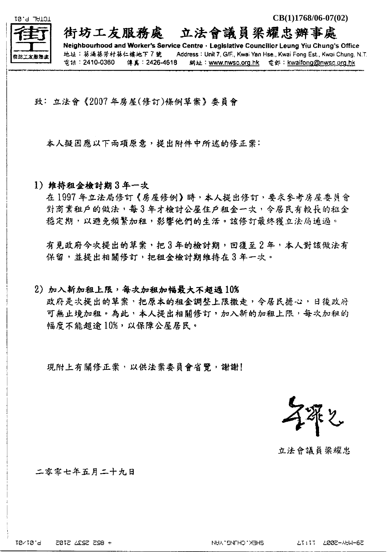

街坊工友服務處 立法會議員梁耀忠辦事處

Neighbourhood and Worker's Service Centre · Legislative Councillor Leung Yiu Chung's Office 地址:葵涌葵芳村葵仁樓地下7號。 Address : Unit 7, G/F., Kwai Yan Hse., Kwai Fong Est., Kwai Chung, N.T.  $\frac{1}{26}$  is: 2410-0360 俳真: 2426-4618 網址: www.nwsc.org.hk 電郵: kwaifong@nwsc.org.hk

致:立法會《2007年房屋(修訂)條例草案》委員會

本人擬因應以下兩項原意,提出附件中所述的修正案:

1) 维持租金检討期3年一次

在1997年立法局修訂《房屋修例》時,本人提出修訂,要求參考房屋委員會 對商業租戶的做法,每3年才檢討公屋住戶租金一次,今居民有較長的租金 穩定期,以避免頻繁加租,影響他們的生活。該修訂最終獲立法局通過。

有見政府今次提出的草案,把3年的檢討期,回復至2年,本人對該做法有 保留,並提出相關修訂,把租金檢討期維持在3年一次。

2) 加入新加租上限,每次加租加幅最大不超過10%

政府是次提出的草案,把原本的租金調整上限撤走,今居民擔心,日後政府 可無止境加租。為此,本人提出相關修訂,加入新的加租上限,每次加租的 幅度不能超逾10%,以保障公屋居民。

現附上有關修正案,以供法案委員會省覽,謝謝!

立法會議員梁耀忠

二零零七年五月二十九日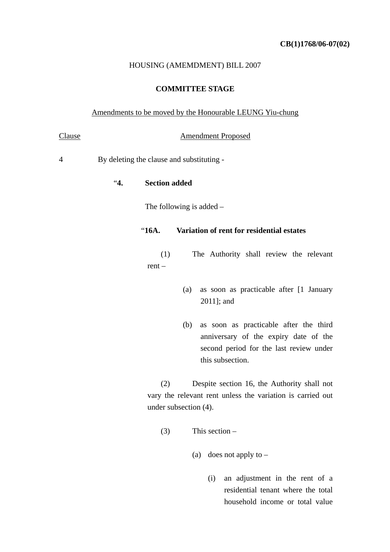#### HOUSING (AMEMDMENT) BILL 2007

### **COMMITTEE STAGE**

#### Amendments to be moved by the Honourable LEUNG Yiu-chung

### Clause **Amendment Proposed**

4 By deleting the clause and substituting -

"**4. Section added** 

The following is added –

# "**16A. Variation of rent for residential estates**

(1) The Authority shall review the relevant rent –

- (a) as soon as practicable after [1 January 2011]; and
- (b) as soon as practicable after the third anniversary of the expiry date of the second period for the last review under this subsection.

(2) Despite section 16, the Authority shall not vary the relevant rent unless the variation is carried out under subsection (4).

- (3) This section
	- (a) does not apply to  $-$ 
		- (i) an adjustment in the rent of a residential tenant where the total household income or total value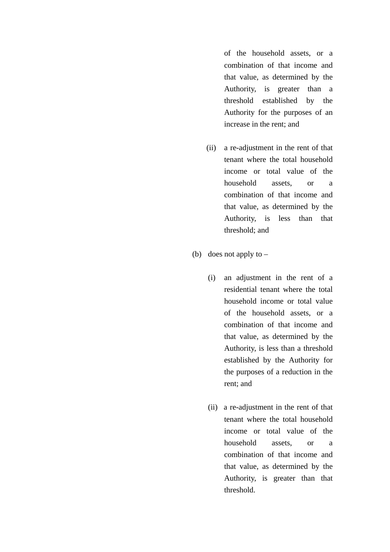of the household assets, or a combination of that income and that value, as determined by the Authority, is greater than a threshold established by the Authority for the purposes of an increase in the rent; and

- (ii) a re-adjustment in the rent of that tenant where the total household income or total value of the household assets, or a combination of that income and that value, as determined by the Authority, is less than that threshold; and
- (b) does not apply to
	- (i) an adjustment in the rent of a residential tenant where the total household income or total value of the household assets, or a combination of that income and that value, as determined by the Authority, is less than a threshold established by the Authority for the purposes of a reduction in the rent; and
	- (ii) a re-adjustment in the rent of that tenant where the total household income or total value of the household assets, or a combination of that income and that value, as determined by the Authority, is greater than that threshold.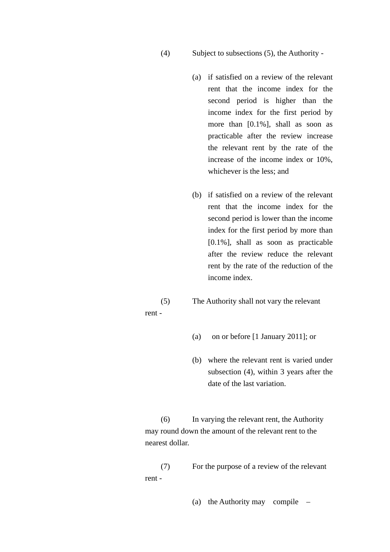### (4) Subject to subsections (5), the Authority -

- (a) if satisfied on a review of the relevant rent that the income index for the second period is higher than the income index for the first period by more than [0.1%], shall as soon as practicable after the review increase the relevant rent by the rate of the increase of the income index or 10%, whichever is the less; and
- (b) if satisfied on a review of the relevant rent that the income index for the second period is lower than the income index for the first period by more than [0.1%], shall as soon as practicable after the review reduce the relevant rent by the rate of the reduction of the income index.
- (5) The Authority shall not vary the relevant rent -
	- (a) on or before [1 January 2011]; or
	- (b) where the relevant rent is varied under subsection (4), within 3 years after the date of the last variation.

 (6) In varying the relevant rent, the Authority may round down the amount of the relevant rent to the nearest dollar.

 (7) For the purpose of a review of the relevant rent -

(a) the Authority may compile –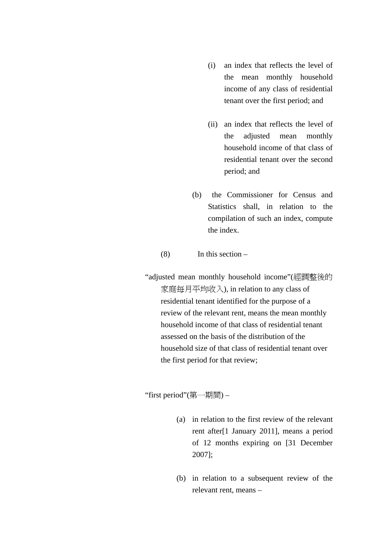- (i) an index that reflects the level of the mean monthly household income of any class of residential tenant over the first period; and
- (ii) an index that reflects the level of the adjusted mean monthly household income of that class of residential tenant over the second period; and
- (b) the Commissioner for Census and Statistics shall, in relation to the compilation of such an index, compute the index.

## (8) In this section –

 "adjusted mean monthly household income"(經調整後的 家庭每月平均收入), in relation to any class of residential tenant identified for the purpose of a review of the relevant rent, means the mean monthly household income of that class of residential tenant assessed on the basis of the distribution of the household size of that class of residential tenant over the first period for that review;

"first period"(第一期間) –

- (a) in relation to the first review of the relevant rent after[1 January 2011], means a period of 12 months expiring on [31 December 2007];
- (b) in relation to a subsequent review of the relevant rent, means –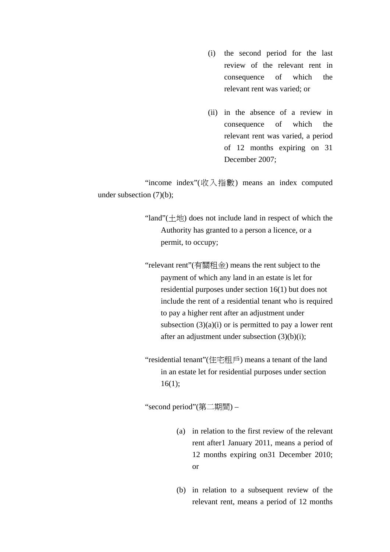- (i) the second period for the last review of the relevant rent in consequence of which the relevant rent was varied; or
- (ii) in the absence of a review in consequence of which the relevant rent was varied, a period of 12 months expiring on 31 December 2007;

 "income index"(收入指數) means an index computed under subsection (7)(b);

> "land" $(\pm \text{!t})$  does not include land in respect of which the Authority has granted to a person a licence, or a permit, to occupy;

> "relevant rent"(有關租金) means the rent subject to the payment of which any land in an estate is let for residential purposes under section 16(1) but does not include the rent of a residential tenant who is required to pay a higher rent after an adjustment under subsection  $(3)(a)(i)$  or is permitted to pay a lower rent after an adjustment under subsection (3)(b)(i);

 "residential tenant"(住宅租戶) means a tenant of the land in an estate let for residential purposes under section 16(1);

"second period"(第二期間) –

- (a) in relation to the first review of the relevant rent after1 January 2011, means a period of 12 months expiring on31 December 2010; or
- (b) in relation to a subsequent review of the relevant rent, means a period of 12 months